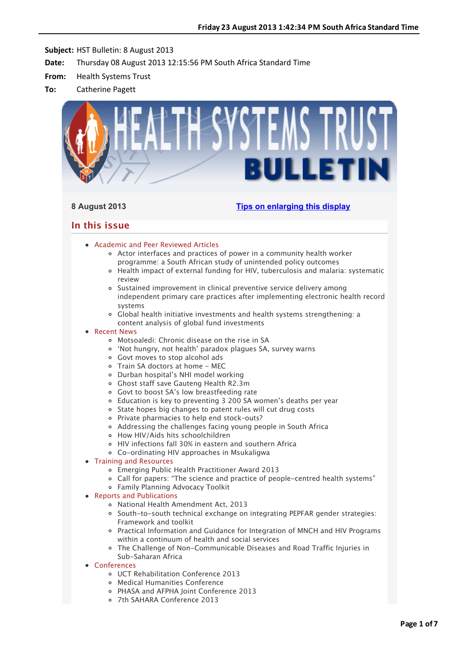

# **8 August 2013 [Tips on enlarging this display](http://bulletin.hst.org.za//lt.php?id=K09TDFJRUw8PSlNRB0UHC1NR)**

# **In this issue**

- [Academic and Peer Reviewed Articles](applewebdata://9AA13F10-7E23-4474-8BE3-20EB3AF24DE4#Academic)
	- [Actor interfaces and practices of power in a community health worker](applewebdata://9AA13F10-7E23-4474-8BE3-20EB3AF24DE4#A_0) programme: a South African study of unintended policy outcomes
	- [Health impact of external funding for HIV, tuberculosis and malaria: systematic](applewebdata://9AA13F10-7E23-4474-8BE3-20EB3AF24DE4#A_1) review
	- Sustained improvement in clinical preventive service delivery among [independent primary care practices after implementing electronic health record](applewebdata://9AA13F10-7E23-4474-8BE3-20EB3AF24DE4#A_2) systems
	- Global health initiative investments and health systems strengthening: a content analysis of global fund investments

# • [Recent News](applewebdata://9AA13F10-7E23-4474-8BE3-20EB3AF24DE4#recent)

- [Motsoaledi: Chronic disease on the rise in SA](applewebdata://9AA13F10-7E23-4474-8BE3-20EB3AF24DE4#N_1)
- ['Not hungry, not health' paradox plagues SA, survey warns](applewebdata://9AA13F10-7E23-4474-8BE3-20EB3AF24DE4#N_2)
- [Govt moves to stop alcohol ads](applewebdata://9AA13F10-7E23-4474-8BE3-20EB3AF24DE4#N_3)
- [Train SA doctors at home MEC](applewebdata://9AA13F10-7E23-4474-8BE3-20EB3AF24DE4#N_4)
- [Durban hospital's NHI model working](applewebdata://9AA13F10-7E23-4474-8BE3-20EB3AF24DE4#N_5)
- [Ghost staff save Gauteng Health R2.3m](applewebdata://9AA13F10-7E23-4474-8BE3-20EB3AF24DE4#N_6)
- [Govt to boost SA's low breastfeeding rate](applewebdata://9AA13F10-7E23-4474-8BE3-20EB3AF24DE4#N_7)
- [Education is key to preventing 3 200 SA women's deaths per year](applewebdata://9AA13F10-7E23-4474-8BE3-20EB3AF24DE4#N_8)
- o [State hopes big changes to patent rules will cut drug costs](applewebdata://9AA13F10-7E23-4474-8BE3-20EB3AF24DE4#N_9)
- [Private pharmacies to help end stock–outs?](applewebdata://9AA13F10-7E23-4474-8BE3-20EB3AF24DE4#N_10)
- [Addressing the challenges facing young people in South Africa](applewebdata://9AA13F10-7E23-4474-8BE3-20EB3AF24DE4#N_11)
- [How HIV/Aids hits schoolchildren](applewebdata://9AA13F10-7E23-4474-8BE3-20EB3AF24DE4#N_12)
- [HIV infections fall 30% in eastern and southern Africa](applewebdata://9AA13F10-7E23-4474-8BE3-20EB3AF24DE4#N_13)
- [Co-ordinating HIV approaches in Msukaligwa](applewebdata://9AA13F10-7E23-4474-8BE3-20EB3AF24DE4#N_14)

# • [Training and Resources](applewebdata://9AA13F10-7E23-4474-8BE3-20EB3AF24DE4#train)

- Emerging Public Health Practitioner Award 2013
- [Call for papers: "The science and practice of people-centred health systems"](applewebdata://9AA13F10-7E23-4474-8BE3-20EB3AF24DE4#T_2)
- [Family Planning Advocacy Toolkit](applewebdata://9AA13F10-7E23-4474-8BE3-20EB3AF24DE4#T_3)

# • [Reports and Publications](applewebdata://9AA13F10-7E23-4474-8BE3-20EB3AF24DE4#publications)

- [National Health Amendment Act, 2013](applewebdata://9AA13F10-7E23-4474-8BE3-20EB3AF24DE4#P_0)
- o [South-to-south technical exchange on integrating PEPFAR gender strategies:](applewebdata://9AA13F10-7E23-4474-8BE3-20EB3AF24DE4#P_1) Framework and toolkit
- [Practical Information and Guidance for Integration of MNCH and HIV Programs](applewebdata://9AA13F10-7E23-4474-8BE3-20EB3AF24DE4#P_2) within a continuum of health and social services
- [The Challenge of Non-Communicable Diseases and Road Traffic Injuries in](applewebdata://9AA13F10-7E23-4474-8BE3-20EB3AF24DE4#P_3) Sub-Saharan Africa
- [Conferences](applewebdata://9AA13F10-7E23-4474-8BE3-20EB3AF24DE4#conferences)
	- [UCT Rehabilitation Conference 2013](applewebdata://9AA13F10-7E23-4474-8BE3-20EB3AF24DE4#C_3)
	- [Medical Humanities Conference](applewebdata://9AA13F10-7E23-4474-8BE3-20EB3AF24DE4#C_4)
	- [PHASA and AFPHA Joint Conference 2013](applewebdata://9AA13F10-7E23-4474-8BE3-20EB3AF24DE4#C_5)
	- [7th SAHARA Conference 2013](applewebdata://9AA13F10-7E23-4474-8BE3-20EB3AF24DE4#C_6)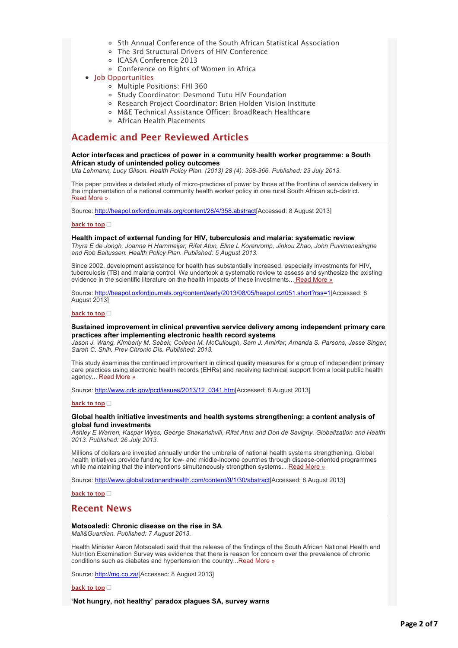- [5th Annual Conference of the South African Statistical Association](applewebdata://9AA13F10-7E23-4474-8BE3-20EB3AF24DE4#C_7)
- [The 3rd Structural Drivers of HIV Conference](applewebdata://9AA13F10-7E23-4474-8BE3-20EB3AF24DE4#C_8)
- [ICASA Conference 2013](applewebdata://9AA13F10-7E23-4474-8BE3-20EB3AF24DE4#C_9)
- [Conference on Rights of Women in Africa](applewebdata://9AA13F10-7E23-4474-8BE3-20EB3AF24DE4#C_10)
- [Job Opportunities](applewebdata://9AA13F10-7E23-4474-8BE3-20EB3AF24DE4#jobs)
	- [Multiple Positions: FHI 360](applewebdata://9AA13F10-7E23-4474-8BE3-20EB3AF24DE4#J_1)
	- [Study Coordinator: Desmond Tutu HIV Foundation](applewebdata://9AA13F10-7E23-4474-8BE3-20EB3AF24DE4#J_2)
	- [Research Project Coordinator: Brien Holden Vision Institute](applewebdata://9AA13F10-7E23-4474-8BE3-20EB3AF24DE4#J_3)
	- [M&E Technical Assistance Officer: BroadReach Healthcare](applewebdata://9AA13F10-7E23-4474-8BE3-20EB3AF24DE4#J_4)
	- [African Health Placements](applewebdata://9AA13F10-7E23-4474-8BE3-20EB3AF24DE4#J_0)

# **Academic and Peer Reviewed Articles**

### **Actor interfaces and practices of power in a community health worker programme: a South African study of unintended policy outcomes**

*Uta Lehmann, Lucy Gilson. Health Policy Plan. (2013) 28 (4): 358-366. Published: 23 July 2013.*

This paper provides a detailed study of micro-practices of power by those at the frontline of service delivery in the implementation of a national community health worker policy in one rural South African sub-district. [Read More »](http://bulletin.hst.org.za//lt.php?id=K09TDFJRUw8OSlNRB0UHC1NR)

Source: [http://heapol.oxfordjournals.org/content/28/4/358.abstract\[](http://bulletin.hst.org.za//lt.php?id=K09TDFJRUw8OSlNRB0UHC1NR)Accessed: 8 August 2013]

### **[back to top](applewebdata://9AA13F10-7E23-4474-8BE3-20EB3AF24DE4#top)**

# **Health impact of external funding for HIV, tuberculosis and malaria: systematic review**

*Thyra E de Jongh, Joanne H Harnmeijer, Rifat Atun, Eline L Korenromp, Jinkou Zhao, John Puvimanasinghe and Rob Baltussen. Health Policy Plan. Published: 5 August 2013.*

Since 2002, development assistance for health has substantially increased, especially investments for HIV, tuberculosis (TB) and malaria control. We undertook a systematic review to assess and synthesize the existing evidence in the scientific literature on the health impacts of these investments..[. Read More »](http://bulletin.hst.org.za//lt.php?id=K09TDFJRUgYHSlNRB0UHC1NR)

Source: [http://heapol.oxfordjournals.org/content/early/2013/08/05/heapol.czt051.short?rss=1\[](http://bulletin.hst.org.za//lt.php?id=K09TDFJRUgYHSlNRB0UHC1NR)Accessed: 8 August 2013]

#### **[back to top](applewebdata://9AA13F10-7E23-4474-8BE3-20EB3AF24DE4#top)**

### **Sustained improvement in clinical preventive service delivery among independent primary care practices after implementing electronic health record systems**

*Jason J. Wang, Kimberly M. Sebek, Colleen M. McCullough, Sam J. Amirfar, Amanda S. Parsons, Jesse Singer, Sarah C. Shih. Prev Chronic Dis. Published: 2013.*

This study examines the continued improvement in clinical quality measures for a group of independent primary care practices using electronic health records (EHRs) and receiving technical support from a local public health agency... [Read More »](http://bulletin.hst.org.za//lt.php?id=K09TDFJRUgYGSlNRB0UHC1NR)

Source: [http://www.cdc.gov/pcd/issues/2013/12\\_0341.htm\[](http://bulletin.hst.org.za//lt.php?id=K09TDFJRUgYGSlNRB0UHC1NR)Accessed: 8 August 2013]

#### **[back to top](applewebdata://9AA13F10-7E23-4474-8BE3-20EB3AF24DE4#top)**

### **Global health initiative investments and health systems strengthening: a content analysis of global fund investments**

*Ashley E Warren, Kaspar Wyss, George Shakarishvili, Rifat Atun and Don de Savigny. Globalization and Health 2013. Published: 26 July 2013.*

Millions of dollars are invested annually under the umbrella of national health systems strengthening. Global health initiatives provide funding for low- and middle-income countries through disease-oriented programmes while maintaining that the interventions simultaneously strengthen systems... [Read More »](http://bulletin.hst.org.za//lt.php?id=K09TDFJRUgYFSlNRB0UHC1NR)

Source: [http://www.globalizationandhealth.com/content/9/1/30/abstract\[](http://bulletin.hst.org.za//lt.php?id=K09TDFJRUgYFSlNRB0UHC1NR)Accessed: 8 August 2013]

**[back to top](applewebdata://9AA13F10-7E23-4474-8BE3-20EB3AF24DE4#top)**

# **Recent News**

### **Motsoaledi: Chronic disease on the rise in SA**

*Mail&Guardian. Published: 7 August 2013.*

Health Minister Aaron Motsoaledi said that the release of the findings of the South African National Health and Nutrition Examination Survey was evidence that there is reason for concern over the prevalence of chronic conditions such as diabetes and hypertension the country...[Read More »](http://bulletin.hst.org.za//lt.php?id=K09TDFJRUgABSlNRB0UHC1NR)

Source: [http://mg.co.za/\[](http://bulletin.hst.org.za//lt.php?id=K09TDFJRUgAASlNRB0UHC1NR)Accessed: 8 August 2013]

**[back to top](applewebdata://9AA13F10-7E23-4474-8BE3-20EB3AF24DE4#top)**

**'Not hungry, not healthy' paradox plagues SA, survey warns**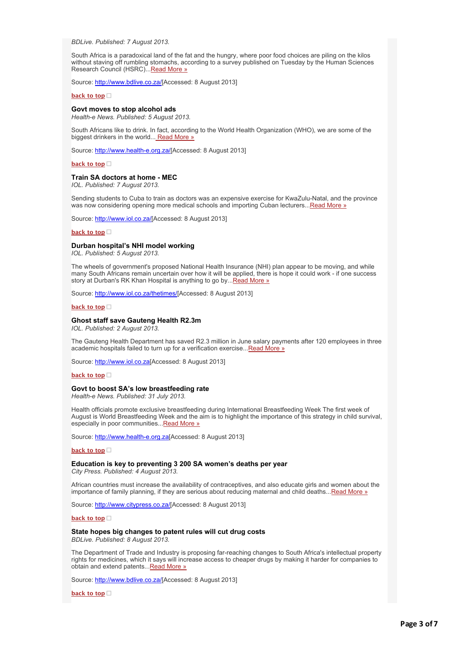#### *BDLive. Published: 7 August 2013.*

South Africa is a paradoxical land of the fat and the hungry, where poor food choices are piling on the kilos without staving off rumbling stomachs, according to a survey published on Tuesday by the Human Sciences Research Council (HSRC)... [Read More »](http://bulletin.hst.org.za//lt.php?id=K09TDFJRUgAPSlNRB0UHC1NR)

Source: [http://www.bdlive.co.za/](http://bulletin.hst.org.za//lt.php?id=K09TDFJRUgAOSlNRB0UHC1NR)[Accessed: 8 August 2013]

#### **[back to top](applewebdata://9AA13F10-7E23-4474-8BE3-20EB3AF24DE4#top)**

#### **Govt moves to stop alcohol ads**

*Health-e News. Published: 5 August 2013.*

South Africans like to drink. In fact, according to the World Health Organization (WHO), we are some of the biggest drinkers in the world... [Read More »](http://bulletin.hst.org.za//lt.php?id=K09TDFJRUgYASlNRB0UHC1NR)

Source: [http://www.health-e.org.za/\[](http://bulletin.hst.org.za//lt.php?id=K09TDFJRUgYPSlNRB0UHC1NR)Accessed: 8 August 2013]

**[back to top](applewebdata://9AA13F10-7E23-4474-8BE3-20EB3AF24DE4#top)**

#### **Train SA doctors at home - MEC**

*IOL. Published: 7 August 2013.*

Sending students to Cuba to train as doctors was an expensive exercise for KwaZulu-Natal, and the province was now considering opening more medical schools and importing Cuban lecturers..[.Read More »](http://bulletin.hst.org.za//lt.php?id=K09TDFJRUgEDSlNRB0UHC1NR)

Source: [http://www.iol.co.za/\[](http://bulletin.hst.org.za//lt.php?id=K09TDFJRUgECSlNRB0UHC1NR)Accessed: 8 August 2013]

**[back to top](applewebdata://9AA13F10-7E23-4474-8BE3-20EB3AF24DE4#top)**

#### **Durban hospital's NHI model working**

*IOL. Published: 5 August 2013.*

The wheels of government's proposed National Health Insurance (NHI) plan appear to be moving, and while many South Africans remain uncertain over how it will be applied, there is hope it could work - if one success story at Durban's RK Khan Hospital is anything to go by... Read More »

Source: [http://www.iol.co.za/thetimes/\[](http://bulletin.hst.org.za//lt.php?id=K09TDFJRUgcHSlNRB0UHC1NR)Accessed: 8 August 2013]

#### **[back to top](applewebdata://9AA13F10-7E23-4474-8BE3-20EB3AF24DE4#top)**

#### **Ghost staff save Gauteng Health R2.3m**

*IOL. Published: 2 August 2013.*

The Gauteng Health Department has saved R2.3 million in June salary payments after 120 employees in three academic hospitals failed to turn up for a verification exercise... Read More »

Source: [http://www.iol.co.za\[](http://bulletin.hst.org.za//lt.php?id=K09TDFJRUgcFSlNRB0UHC1NR)Accessed: 8 August 2013]

#### **[back to top](applewebdata://9AA13F10-7E23-4474-8BE3-20EB3AF24DE4#top)**

#### **Govt to boost SA's low breastfeeding rate**

*Health-e News. Published: 31 July 2013.*

Health officials promote exclusive breastfeeding during International Breastfeeding Week The first week of August is World Breastfeeding Week and the aim is to highlight the importance of this strategy in child survival, especially in poor communities..[.Read More »](http://bulletin.hst.org.za//lt.php?id=K09TDFJRUgcESlNRB0UHC1NR)

Source: [http://www.health-e.org.za\[](http://bulletin.hst.org.za//lt.php?id=K09TDFJRUgcDSlNRB0UHC1NR)Accessed: 8 August 2013]

#### **[back to top](applewebdata://9AA13F10-7E23-4474-8BE3-20EB3AF24DE4#top)**

### **Education is key to preventing 3 200 SA women's deaths per year**

*City Press. Published: 4 August 2013.*

African countries must increase the availability of contraceptives, and also educate girls and women about the importance of family planning, if they are serious about reducing maternal and child deaths..[.Read More »](http://bulletin.hst.org.za//lt.php?id=K09TDFJRUgcCSlNRB0UHC1NR)

Source: [http://www.citypress.co.za/\[](http://bulletin.hst.org.za//lt.php?id=K09TDFJRUgcBSlNRB0UHC1NR)Accessed: 8 August 2013]

#### **[back to top](applewebdata://9AA13F10-7E23-4474-8BE3-20EB3AF24DE4#top)**

### **State hopes big changes to patent rules will cut drug costs**

*BDLive. Published: 8 August 2013.*

The Department of Trade and Industry is proposing far-reaching changes to South Africa's intellectual property rights for medicines, which it says will increase access to cheaper drugs by making it harder for companies to obtain and extend patents... Read More »

Source: [http://www.bdlive.co.za/](http://bulletin.hst.org.za//lt.php?id=K09TDFJRUgEASlNRB0UHC1NR)[Accessed: 8 August 2013]

**[back to top](applewebdata://9AA13F10-7E23-4474-8BE3-20EB3AF24DE4#top)**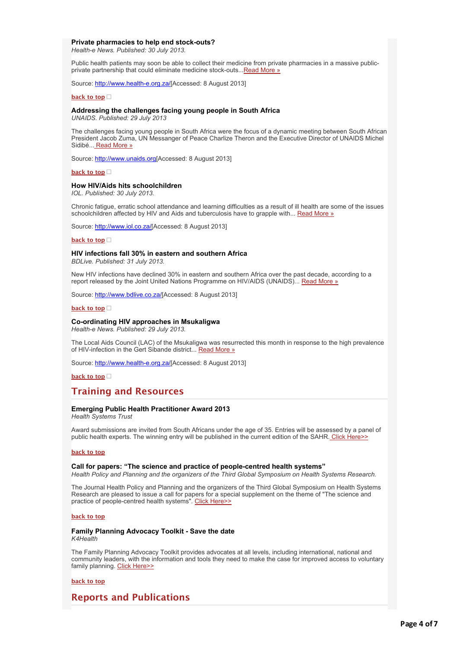#### **Private pharmacies to help end stock-outs?**

*Health-e News. Published: 30 July 2013.*

Public health patients may soon be able to collect their medicine from private pharmacies in a massive publicprivate partnership that could eliminate medicine stock-outs... Read More »

Source: [http://www.health-e.org.za/\[](http://bulletin.hst.org.za//lt.php?id=K09TDFJRUgcPSlNRB0UHC1NR)Accessed: 8 August 2013]

**[back to top](applewebdata://9AA13F10-7E23-4474-8BE3-20EB3AF24DE4#top)**

#### **Addressing the challenges facing young people in South Africa**

*UNAIDS. Published: 29 July 2013*

The challenges facing young people in South Africa were the focus of a dynamic meeting between South African President Jacob Zuma, UN Messanger of Peace Charlize Theron and the Executive Director of UNAIDS Michel Sidibé..[. Read More »](http://bulletin.hst.org.za//lt.php?id=K09TDFJRUgcOSlNRB0UHC1NR)

Source: [http://www.unaids.org\[](http://bulletin.hst.org.za//lt.php?id=K09TDFJRUgQHSlNRB0UHC1NR)Accessed: 8 August 2013]

**[back to top](applewebdata://9AA13F10-7E23-4474-8BE3-20EB3AF24DE4#top)**

#### **How HIV/Aids hits schoolchildren**

*IOL. Published: 30 July 2013.*

Chronic fatigue, erratic school attendance and learning difficulties as a result of ill health are some of the issues schoolchildren affected by HIV and Aids and tuberculosis have to grapple with... [Read More »](http://bulletin.hst.org.za//lt.php?id=K09TDFJRUgQGSlNRB0UHC1NR)

Source: [http://www.iol.co.za/\[](http://bulletin.hst.org.za//lt.php?id=K09TDFJRUgQFSlNRB0UHC1NR)Accessed: 8 August 2013]

#### **[back to top](applewebdata://9AA13F10-7E23-4474-8BE3-20EB3AF24DE4#top)**

#### **HIV infections fall 30% in eastern and southern Africa**

*BDLive. Published: 31 July 2013.*

New HIV infections have declined 30% in eastern and southern Africa over the past decade, according to a report released by the Joint United Nations Programme on HIV/AIDS (UNAIDS)... [Read More »](http://bulletin.hst.org.za//lt.php?id=K09TDFJRUgQESlNRB0UHC1NR)

Source: [http://www.bdlive.co.za/](http://bulletin.hst.org.za//lt.php?id=K09TDFJRUgQDSlNRB0UHC1NR)[Accessed: 8 August 2013]

### **[back to top](applewebdata://9AA13F10-7E23-4474-8BE3-20EB3AF24DE4#top)**

#### **Co-ordinating HIV approaches in Msukaligwa**

*Health-e News. Published: 29 July 2013.*

The Local Aids Council (LAC) of the Msukaligwa was resurrected this month in response to the high prevalence of HIV-infection in the Gert Sibande district... [Read More »](http://bulletin.hst.org.za//lt.php?id=K09TDFJRUgQCSlNRB0UHC1NR)

Source: [http://www.health-e.org.za/\[](http://bulletin.hst.org.za//lt.php?id=K09TDFJRUgQBSlNRB0UHC1NR)Accessed: 8 August 2013]

**[back to top](applewebdata://9AA13F10-7E23-4474-8BE3-20EB3AF24DE4#top)**

# **Training and Resources**

#### **Emerging Public Health Practitioner Award 2013**

*Health Systems Trust*

Award submissions are invited from South Africans under the age of 35. Entries will be assessed by a panel of public health experts. The winning entry will be published in the current edition of the SAHR[. Click Here>>](http://bulletin.hst.org.za//lt.php?id=K09TDFJRUgUGSlNRB0UHC1NR)

#### **[back to top](applewebdata://9AA13F10-7E23-4474-8BE3-20EB3AF24DE4#top)**

#### **Call for papers: "The science and practice of people-centred health systems"**

*Health Policy and Planning and the organizers of the Third Global Symposium on Health Systems Research.*

The Journal Health Policy and Planning and the organizers of the Third Global Symposium on Health Systems Research are pleased to issue a call for papers for a special supplement on the theme of "The science and practice of people-centred health systems". [Click Here>>](http://bulletin.hst.org.za//lt.php?id=K09TDFJRUgUFSlNRB0UHC1NR)

#### **[back to top](applewebdata://9AA13F10-7E23-4474-8BE3-20EB3AF24DE4#top)**

# **Family Planning Advocacy Toolkit - Save the date**

*K4Health*

The Family Planning Advocacy Toolkit provides advocates at all levels, including international, national and community leaders, with the information and tools they need to make the case for improved access to voluntary family planning. [Click Here>>](http://bulletin.hst.org.za//lt.php?id=K09TDFJRUgUESlNRB0UHC1NR)

#### **[back to top](applewebdata://9AA13F10-7E23-4474-8BE3-20EB3AF24DE4#top)**

# **Reports and Publications**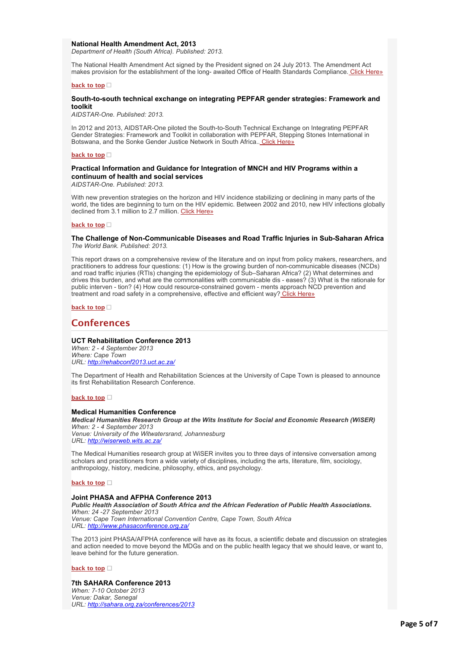#### **National Health Amendment Act, 2013**

*Department of Health (South Africa). Published: 2013.*

The National Health Amendment Act signed by the President signed on 24 July 2013. The Amendment Act makes provision for the establishment of the long- awaited Office of Health Standards Compliance[. Click Here»](http://bulletin.hst.org.za//lt.php?id=K09TDFJRUgEHSlNRB0UHC1NR)

#### **[back to top](applewebdata://9AA13F10-7E23-4474-8BE3-20EB3AF24DE4#top)**

#### **South-to-south technical exchange on integrating PEPFAR gender strategies: Framework and toolkit**

*AIDSTAR-One. Published: 2013.*

In 2012 and 2013, AIDSTAR-One piloted the South-to-South Technical Exchange on Integrating PEPFAR Gender Strategies: Framework and Toolkit in collaboration with PEPFAR, Stepping Stones International in Botswana, and the Sonke Gender Justice Network in South Africa.[. Click Here»](http://bulletin.hst.org.za//lt.php?id=K09TDFJRUgEGSlNRB0UHC1NR)

#### **[back to top](applewebdata://9AA13F10-7E23-4474-8BE3-20EB3AF24DE4#top)**

### **Practical Information and Guidance for Integration of MNCH and HIV Programs within a continuum of health and social services**

*AIDSTAR-One. Published: 2013.*

With new prevention strategies on the horizon and HIV incidence stabilizing or declining in many parts of the world, the tides are beginning to turn on the HIV epidemic. Between 2002 and 2010, new HIV infections globally declined from 3.1 million to 2.7 million. [Click Here»](http://bulletin.hst.org.za//lt.php?id=K09TDFJRUgEFSlNRB0UHC1NR)

#### **[back to top](applewebdata://9AA13F10-7E23-4474-8BE3-20EB3AF24DE4#top)**

#### **The Challenge of Non-Communicable Diseases and Road Traffic Injuries in Sub-Saharan Africa** *The World Bank. Published: 2013.*

This report draws on a comprehensive review of the literature and on input from policy makers, researchers, and practitioners to address four questions: (1) How is the growing burden of non-communicable diseases (NCDs) and road traffic injuries (RTIs) changing the epidemiology of Sub–Saharan Africa? (2) What determines and drives this burden, and what are the commonalities with communicable dis - eases? (3) What is the rationale for public interven - tion? (4) How could resource-constrained govern - ments approach NCD prevention and treatment and road safety in a comprehensive, effective and efficient way? [Click Here»](http://bulletin.hst.org.za//lt.php?id=K09TDFJRUgEESlNRB0UHC1NR)

#### **[back to top](applewebdata://9AA13F10-7E23-4474-8BE3-20EB3AF24DE4#top)**

### **Conferences**

### **UCT Rehabilitation Conference 2013**

*When: 2 - 4 September 2013 Where: Cape Town URL: [http://rehabconf2013.uct.ac.za/](http://bulletin.hst.org.za//lt.php?id=K09TDFJRUgUPSlNRB0UHC1NR)*

The Department of Health and Rehabilitation Sciences at the University of Cape Town is pleased to announce its first Rehabilitation Research Conference.

#### **[back to top](applewebdata://9AA13F10-7E23-4474-8BE3-20EB3AF24DE4#top)**

#### **Medical Humanities Conference**

*Medical Humanities Research Group at the Wits Institute for Social and Economic Research (WiSER) When: 2 - 4 September 2013*

*Venue: University of the Witwatersrand, Johannesburg URL: [http://wiserweb.wits.ac.za/](http://bulletin.hst.org.za//lt.php?id=K09TDFJRUgUOSlNRB0UHC1NR)*

The Medical Humanities research group at WiSER invites you to three days of intensive conversation among scholars and practitioners from a wide variety of disciplines, including the arts, literature, film, sociology, anthropology, history, medicine, philosophy, ethics, and psychology.

#### **[back to top](applewebdata://9AA13F10-7E23-4474-8BE3-20EB3AF24DE4#top)**

#### **Joint PHASA and AFPHA Conference 2013**

*Public Health Association of South Africa and the African Federation of Public Health Associations. When: 24 -27 September 2013 Venue: Cape Town International Convention Centre, Cape Town, South Africa URL: [http://www.phasaconference.org.za/](http://bulletin.hst.org.za//lt.php?id=K09TDFJRUgIHSlNRB0UHC1NR)*

The 2013 joint PHASA/AFPHA conference will have as its focus, a scientific debate and discussion on strategies and action needed to move beyond the MDGs and on the public health legacy that we should leave, or want to, leave behind for the future generation.

#### **[back to top](applewebdata://9AA13F10-7E23-4474-8BE3-20EB3AF24DE4#top)**

# **7th SAHARA Conference 2013**

*When: 7-10 October 2013 Venue: Dakar, Senegal URL: [http://sahara.org.za/conferences/2013](http://bulletin.hst.org.za//lt.php?id=K09TDFJRUgIGSlNRB0UHC1NR)*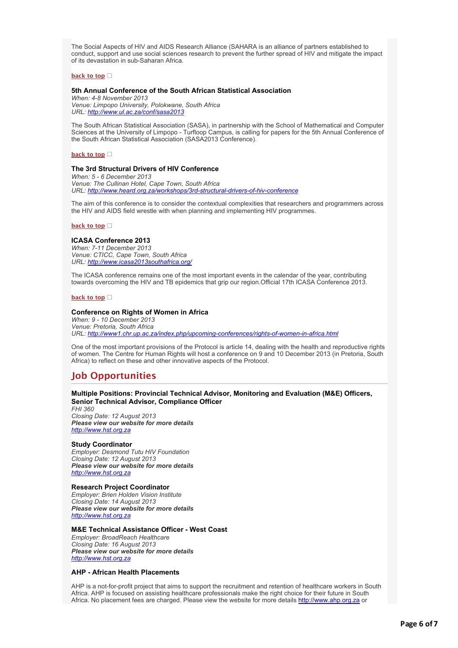The Social Aspects of HIV and AIDS Research Alliance (SAHARA is an alliance of partners established to conduct, support and use social sciences research to prevent the further spread of HIV and mitigate the impact of its devastation in sub-Saharan Africa.

### **[back to top](applewebdata://9AA13F10-7E23-4474-8BE3-20EB3AF24DE4#top)**

### **5th Annual Conference of the South African Statistical Association**

*When: 4-8 November 2013 Venue: Limpopo University, Polokwane, South Africa URL: [http://www.ul.ac.za/conf/sasa2013](http://bulletin.hst.org.za//lt.php?id=K09TDFJRUgIFSlNRB0UHC1NR)*

The South African Statistical Association (SASA), in partnership with the School of Mathematical and Computer Sciences at the University of Limpopo - Turfloop Campus, is calling for papers for the 5th Annual Conference of the South African Statistical Association (SASA2013 Conference).

#### **[back to top](applewebdata://9AA13F10-7E23-4474-8BE3-20EB3AF24DE4#top)**

### **The 3rd Structural Drivers of HIV Conference**

*When: 5 - 6 December 2013 Venue: The Cullinan Hotel, Cape Town, South Africa URL: [http://www.heard.org.za/workshops/3rd-structural-drivers-of-hiv-conference](http://bulletin.hst.org.za//lt.php?id=K09TDFJRUgIESlNRB0UHC1NR)*

The aim of this conference is to consider the contextual complexities that researchers and programmers across the HIV and AIDS field wrestle with when planning and implementing HIV programmes.

#### **[back to top](applewebdata://9AA13F10-7E23-4474-8BE3-20EB3AF24DE4#top)**

### **ICASA Conference 2013**

*When: 7-11 December 2013 Venue: CTICC, Cape Town, South Africa URL: [http://www.icasa2013southafrica.org/](http://bulletin.hst.org.za//lt.php?id=K09TDFJRUgIDSlNRB0UHC1NR)*

The ICASA conference remains one of the most important events in the calendar of the year, contributing towards overcoming the HIV and TB epidemics that grip our region.Official 17th ICASA Conference 2013.

#### **[back to top](applewebdata://9AA13F10-7E23-4474-8BE3-20EB3AF24DE4#top)**

### **Conference on Rights of Women in Africa**

*When: 9 - 10 December 2013 Venue: Pretoria, South Africa URL: [http://www1.chr.up.ac.za/index.php/upcoming-conferences/rights-of-women-in-africa.html](http://bulletin.hst.org.za//lt.php?id=K09TDFJRUg4HSlNRB0UHC1NR)*

One of the most important provisions of the Protocol is article 14, dealing with the health and reproductive rights of women. The Centre for Human Rights will host a conference on 9 and 10 December 2013 (in Pretoria, South Africa) to reflect on these and other innovative aspects of the Protocol.

# **Job Opportunities**

### **Multiple Positions: Provincial Technical Advisor, Monitoring and Evaluation (M&E) Officers, Senior Technical Advisor, Compliance Officer**

*FHI 360 Closing Date: 12 August 2013 Please view our website for more details [http://www.hst.org.za](http://bulletin.hst.org.za//lt.php?id=K09TDFJRUgIBSlNRB0UHC1NR)*

### **Study Coordinator**

*Employer: Desmond Tutu HIV Foundation Closing Date: 12 August 2013 Please view our website for more details [http://www.hst.org.za](http://bulletin.hst.org.za//lt.php?id=K09TDFJRUgIASlNRB0UHC1NR)*

#### **Research Project Coordinator**

*Employer: Brien Holden Vision Institute Closing Date: 14 August 2013 Please view our website for more details [http://www.hst.org.za](http://bulletin.hst.org.za//lt.php?id=K09TDFJRUgIPSlNRB0UHC1NR)*

### **M&E Technical Assistance Officer - West Coast**

*Employer: BroadReach Healthcare Closing Date: 16 August 2013 Please view our website for more details [http://www.hst.org.za](http://bulletin.hst.org.za//lt.php?id=K09TDFJRUgIOSlNRB0UHC1NR)*

### **AHP - African Health Placements**

AHP is a not-for-profit project that aims to support the recruitment and retention of healthcare workers in South Africa. AHP is focused on assisting healthcare professionals make the right choice for their future in South Africa. No placement fees are charged. Please view the website for more details [http://www.ahp.org.za](http://bulletin.hst.org.za//lt.php?id=K09TDFJRUgEOSlNRB0UHC1NR) or